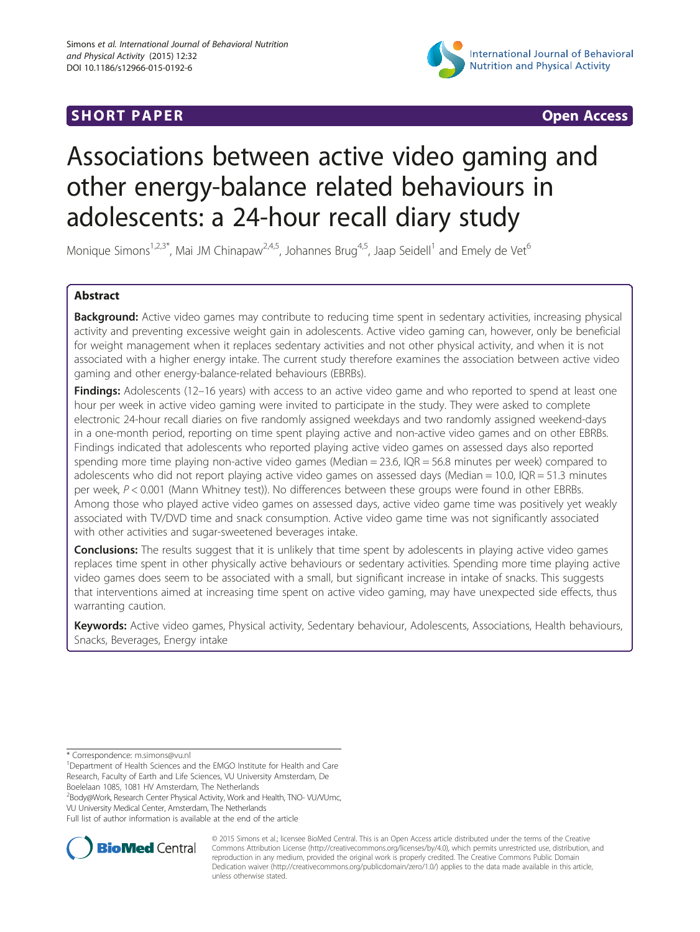## **SHORT PAPER SHORT PAPER CONSTRUCTER CONSTRUCTER CONSTRUCTER CONSTRUCTER**



# Associations between active video gaming and other energy-balance related behaviours in adolescents: a 24-hour recall diary study

Monique Simons<sup>1,2,3\*</sup>, Mai JM Chinapaw<sup>2,4,5</sup>, Johannes Brug<sup>4,5</sup>, Jaap Seidell<sup>1</sup> and Emely de Vet<sup>6</sup>

## Abstract

Background: Active video games may contribute to reducing time spent in sedentary activities, increasing physical activity and preventing excessive weight gain in adolescents. Active video gaming can, however, only be beneficial for weight management when it replaces sedentary activities and not other physical activity, and when it is not associated with a higher energy intake. The current study therefore examines the association between active video gaming and other energy-balance-related behaviours (EBRBs).

Findings: Adolescents (12-16 years) with access to an active video game and who reported to spend at least one hour per week in active video gaming were invited to participate in the study. They were asked to complete electronic 24-hour recall diaries on five randomly assigned weekdays and two randomly assigned weekend-days in a one-month period, reporting on time spent playing active and non-active video games and on other EBRBs. Findings indicated that adolescents who reported playing active video games on assessed days also reported spending more time playing non-active video games (Median  $= 23.6$ , IQR  $= 56.8$  minutes per week) compared to adolescents who did not report playing active video games on assessed days (Median = 10.0, IQR = 51.3 minutes per week, P < 0.001 (Mann Whitney test)). No differences between these groups were found in other EBRBs. Among those who played active video games on assessed days, active video game time was positively yet weakly associated with TV/DVD time and snack consumption. Active video game time was not significantly associated with other activities and sugar-sweetened beverages intake.

**Conclusions:** The results suggest that it is unlikely that time spent by adolescents in playing active video games replaces time spent in other physically active behaviours or sedentary activities. Spending more time playing active video games does seem to be associated with a small, but significant increase in intake of snacks. This suggests that interventions aimed at increasing time spent on active video gaming, may have unexpected side effects, thus warranting caution.

Keywords: Active video games, Physical activity, Sedentary behaviour, Adolescents, Associations, Health behaviours, Snacks, Beverages, Energy intake

\* Correspondence: [m.simons@vu.nl](mailto:m.simons@vu.nl) <sup>1</sup>

<sup>1</sup>Department of Health Sciences and the EMGO Institute for Health and Care Research, Faculty of Earth and Life Sciences, VU University Amsterdam, De Boelelaan 1085, 1081 HV Amsterdam, The Netherlands

2 Body@Work, Research Center Physical Activity, Work and Health, TNO- VU/VUmc,

VU University Medical Center, Amsterdam, The Netherlands

Full list of author information is available at the end of the article



© 2015 Simons et al.; licensee BioMed Central. This is an Open Access article distributed under the terms of the Creative Commons Attribution License [\(http://creativecommons.org/licenses/by/4.0\)](http://creativecommons.org/licenses/by/4.0), which permits unrestricted use, distribution, and reproduction in any medium, provided the original work is properly credited. The Creative Commons Public Domain Dedication waiver [\(http://creativecommons.org/publicdomain/zero/1.0/](http://creativecommons.org/publicdomain/zero/1.0/)) applies to the data made available in this article, unless otherwise stated.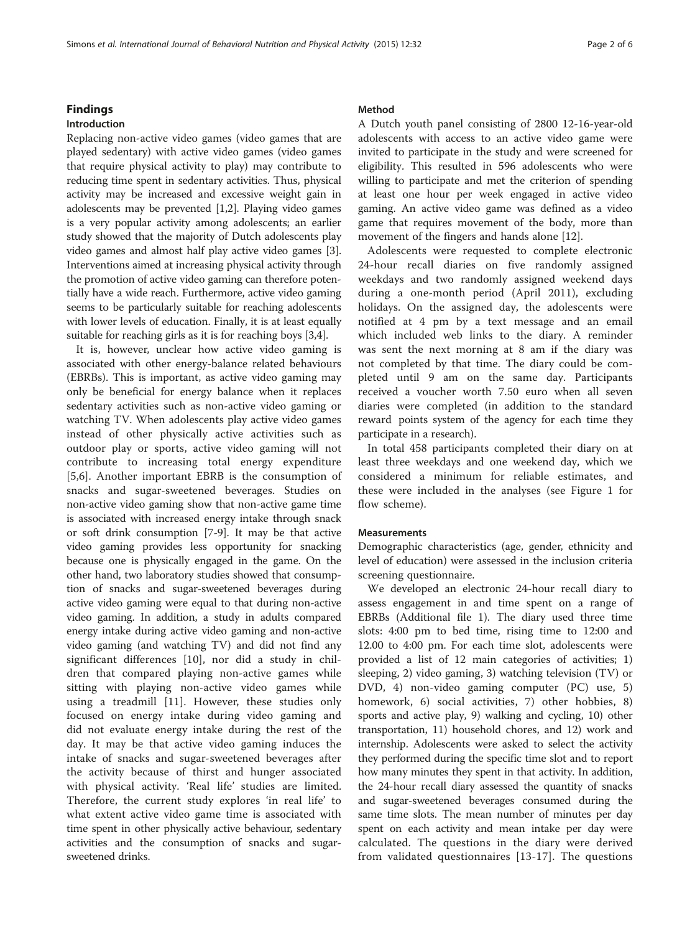#### Findings

## Introduction

Replacing non-active video games (video games that are played sedentary) with active video games (video games that require physical activity to play) may contribute to reducing time spent in sedentary activities. Thus, physical activity may be increased and excessive weight gain in adolescents may be prevented [[1,2](#page-4-0)]. Playing video games is a very popular activity among adolescents; an earlier study showed that the majority of Dutch adolescents play video games and almost half play active video games [[3](#page-4-0)]. Interventions aimed at increasing physical activity through the promotion of active video gaming can therefore potentially have a wide reach. Furthermore, active video gaming seems to be particularly suitable for reaching adolescents with lower levels of education. Finally, it is at least equally suitable for reaching girls as it is for reaching boys [[3,4](#page-4-0)].

It is, however, unclear how active video gaming is associated with other energy-balance related behaviours (EBRBs). This is important, as active video gaming may only be beneficial for energy balance when it replaces sedentary activities such as non-active video gaming or watching TV. When adolescents play active video games instead of other physically active activities such as outdoor play or sports, active video gaming will not contribute to increasing total energy expenditure [[5,6](#page-4-0)]. Another important EBRB is the consumption of snacks and sugar-sweetened beverages. Studies on non-active video gaming show that non-active game time is associated with increased energy intake through snack or soft drink consumption [[7-9\]](#page-4-0). It may be that active video gaming provides less opportunity for snacking because one is physically engaged in the game. On the other hand, two laboratory studies showed that consumption of snacks and sugar-sweetened beverages during active video gaming were equal to that during non-active video gaming. In addition, a study in adults compared energy intake during active video gaming and non-active video gaming (and watching TV) and did not find any significant differences [\[10](#page-4-0)], nor did a study in children that compared playing non-active games while sitting with playing non-active video games while using a treadmill [[11](#page-4-0)]. However, these studies only focused on energy intake during video gaming and did not evaluate energy intake during the rest of the day. It may be that active video gaming induces the intake of snacks and sugar-sweetened beverages after the activity because of thirst and hunger associated with physical activity. 'Real life' studies are limited. Therefore, the current study explores 'in real life' to what extent active video game time is associated with time spent in other physically active behaviour, sedentary activities and the consumption of snacks and sugarsweetened drinks.

## Method

A Dutch youth panel consisting of 2800 12-16-year-old adolescents with access to an active video game were invited to participate in the study and were screened for eligibility. This resulted in 596 adolescents who were willing to participate and met the criterion of spending at least one hour per week engaged in active video gaming. An active video game was defined as a video game that requires movement of the body, more than movement of the fingers and hands alone [\[12\]](#page-4-0).

Adolescents were requested to complete electronic 24-hour recall diaries on five randomly assigned weekdays and two randomly assigned weekend days during a one-month period (April 2011), excluding holidays. On the assigned day, the adolescents were notified at 4 pm by a text message and an email which included web links to the diary. A reminder was sent the next morning at 8 am if the diary was not completed by that time. The diary could be completed until 9 am on the same day. Participants received a voucher worth 7.50 euro when all seven diaries were completed (in addition to the standard reward points system of the agency for each time they participate in a research).

In total 458 participants completed their diary on at least three weekdays and one weekend day, which we considered a minimum for reliable estimates, and these were included in the analyses (see Figure [1](#page-2-0) for flow scheme).

#### **Measurements**

Demographic characteristics (age, gender, ethnicity and level of education) were assessed in the inclusion criteria screening questionnaire.

We developed an electronic 24-hour recall diary to assess engagement in and time spent on a range of EBRBs (Additional file [1\)](#page-4-0). The diary used three time slots: 4:00 pm to bed time, rising time to 12:00 and 12.00 to 4:00 pm. For each time slot, adolescents were provided a list of 12 main categories of activities; 1) sleeping, 2) video gaming, 3) watching television (TV) or DVD, 4) non-video gaming computer (PC) use, 5) homework, 6) social activities, 7) other hobbies, 8) sports and active play, 9) walking and cycling, 10) other transportation, 11) household chores, and 12) work and internship. Adolescents were asked to select the activity they performed during the specific time slot and to report how many minutes they spent in that activity. In addition, the 24-hour recall diary assessed the quantity of snacks and sugar-sweetened beverages consumed during the same time slots. The mean number of minutes per day spent on each activity and mean intake per day were calculated. The questions in the diary were derived from validated questionnaires [\[13-](#page-4-0)[17\]](#page-5-0). The questions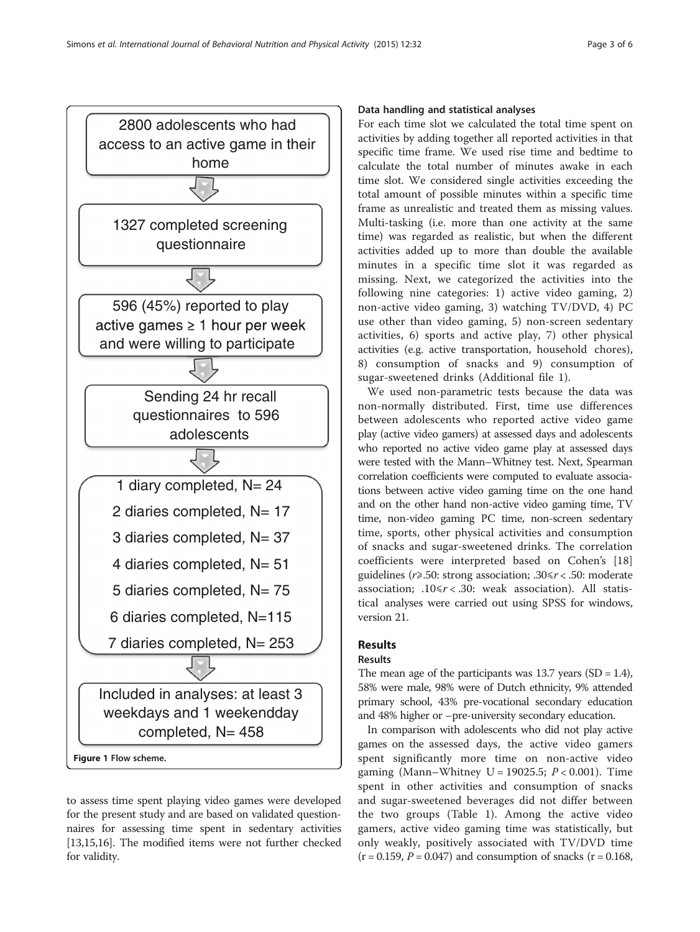<span id="page-2-0"></span>

to assess time spent playing video games were developed for the present study and are based on validated questionnaires for assessing time spent in sedentary activities [[13](#page-4-0)[,15,16\]](#page-5-0). The modified items were not further checked for validity.

### Data handling and statistical analyses

For each time slot we calculated the total time spent on activities by adding together all reported activities in that specific time frame. We used rise time and bedtime to calculate the total number of minutes awake in each time slot. We considered single activities exceeding the total amount of possible minutes within a specific time frame as unrealistic and treated them as missing values. Multi-tasking (i.e. more than one activity at the same time) was regarded as realistic, but when the different activities added up to more than double the available minutes in a specific time slot it was regarded as missing. Next, we categorized the activities into the following nine categories: 1) active video gaming, 2) non-active video gaming, 3) watching TV/DVD, 4) PC use other than video gaming, 5) non-screen sedentary activities, 6) sports and active play, 7) other physical activities (e.g. active transportation, household chores), 8) consumption of snacks and 9) consumption of sugar-sweetened drinks (Additional file [1](#page-4-0)).

We used non-parametric tests because the data was non-normally distributed. First, time use differences between adolescents who reported active video game play (active video gamers) at assessed days and adolescents who reported no active video game play at assessed days were tested with the Mann–Whitney test. Next, Spearman correlation coefficients were computed to evaluate associations between active video gaming time on the one hand and on the other hand non-active video gaming time, TV time, non-video gaming PC time, non-screen sedentary time, sports, other physical activities and consumption of snacks and sugar-sweetened drinks. The correlation coefficients were interpreted based on Cohen's [\[18](#page-5-0)] guidelines ( $r \ge 0$ : strong association; .30  $\le r < 0$ : moderate association;  $.10 \le r < .30$ : weak association). All statistical analyses were carried out using SPSS for windows, version 21.

## Results

## Results

The mean age of the participants was  $13.7$  years  $(SD = 1.4)$ , 58% were male, 98% were of Dutch ethnicity, 9% attended primary school, 43% pre-vocational secondary education and 48% higher or –pre-university secondary education.

In comparison with adolescents who did not play active games on the assessed days, the active video gamers spent significantly more time on non-active video gaming (Mann–Whitney  $U = 19025.5$ ;  $P < 0.001$ ). Time spent in other activities and consumption of snacks and sugar-sweetened beverages did not differ between the two groups (Table [1\)](#page-3-0). Among the active video gamers, active video gaming time was statistically, but only weakly, positively associated with TV/DVD time  $(r = 0.159, P = 0.047)$  and consumption of snacks  $(r = 0.168, P = 0.047)$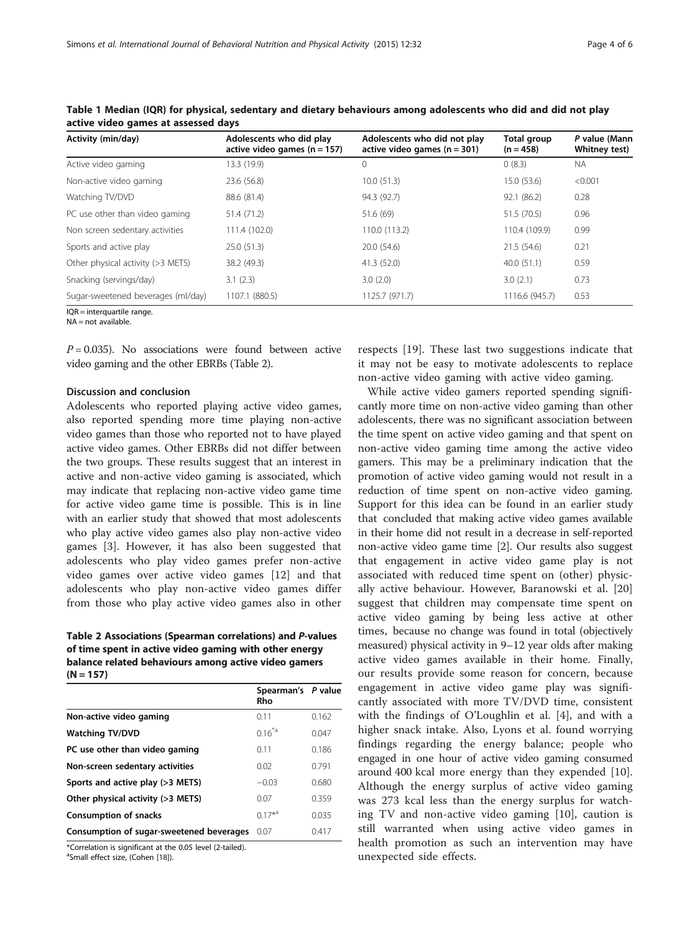| Activity (min/day)                 | Adolescents who did play<br>active video games ( $n = 157$ ) | Adolescents who did not play<br>active video games ( $n = 301$ ) | Total group<br>$(n = 458)$ | P value (Mann<br>Whitney test) |
|------------------------------------|--------------------------------------------------------------|------------------------------------------------------------------|----------------------------|--------------------------------|
| Active video gaming                | 13.3 (19.9)                                                  |                                                                  | 0(8.3)                     | <b>NA</b>                      |
| Non-active video gaming            | 23.6 (56.8)                                                  | 10.0(51.3)                                                       | 15.0 (53.6)                | < 0.001                        |
| Watching TV/DVD                    | 88.6 (81.4)                                                  | 94.3 (92.7)                                                      | 92.1 (86.2)                | 0.28                           |
| PC use other than video gaming     | 51.4 (71.2)                                                  | 51.6 (69)                                                        | 51.5 (70.5)                | 0.96                           |
| Non screen sedentary activities    | 111.4 (102.0)                                                | 110.0 (113.2)                                                    | 110.4 (109.9)              | 0.99                           |
| Sports and active play             | 25.0(51.3)                                                   | 20.0(54.6)                                                       | 21.5 (54.6)                | 0.21                           |
| Other physical activity (>3 METS)  | 38.2 (49.3)                                                  | 41.3 (52.0)                                                      | 40.0(51.1)                 | 0.59                           |
| Snacking (servings/day)            | 3.1(2.3)                                                     | 3.0(2.0)                                                         | 3.0(2.1)                   | 0.73                           |
| Sugar-sweetened beverages (ml/day) | 1107.1 (880.5)                                               | 1125.7 (971.7)                                                   | 1116.6 (945.7)             | 0.53                           |

<span id="page-3-0"></span>Table 1 Median (IQR) for physical, sedentary and dietary behaviours among adolescents who did and did not play active video games at assessed days

 $IOR =$ interquartile range.

 $NA = not available$ 

 $P = 0.035$ ). No associations were found between active video gaming and the other EBRBs (Table 2).

## Discussion and conclusion

Adolescents who reported playing active video games, also reported spending more time playing non-active video games than those who reported not to have played active video games. Other EBRBs did not differ between the two groups. These results suggest that an interest in active and non-active video gaming is associated, which may indicate that replacing non-active video game time for active video game time is possible. This is in line with an earlier study that showed that most adolescents who play active video games also play non-active video games [\[3](#page-4-0)]. However, it has also been suggested that adolescents who play video games prefer non-active video games over active video games [[12\]](#page-4-0) and that adolescents who play non-active video games differ from those who play active video games also in other

## Table 2 Associations (Spearman correlations) and P-values of time spent in active video gaming with other energy balance related behaviours among active video gamers

|--|--|--|

|                                          | Spearman's P value<br>Rho |       |
|------------------------------------------|---------------------------|-------|
| Non-active video gaming                  | 0.11                      | 0.162 |
| <b>Watching TV/DVD</b>                   | $0.16^{*a}$               | 0.047 |
| PC use other than video gaming           | 0.11                      | 0.186 |
| Non-screen sedentary activities          | 0.02                      | 0.791 |
| Sports and active play (>3 METS)         | $-0.03$                   | 0.680 |
| Other physical activity (>3 METS)        | 0.07                      | 0.359 |
| <b>Consumption of snacks</b>             | $0.17*$ <sup>a</sup>      | 0.035 |
| Consumption of sugar-sweetened beverages | 0.07                      | 0.417 |

\*Correlation is significant at the 0.05 level (2-tailed).

<sup>a</sup>Small effect size, (Cohen [\[18](#page-5-0)]).

respects [[19](#page-5-0)]. These last two suggestions indicate that it may not be easy to motivate adolescents to replace non-active video gaming with active video gaming.

While active video gamers reported spending significantly more time on non-active video gaming than other adolescents, there was no significant association between the time spent on active video gaming and that spent on non-active video gaming time among the active video gamers. This may be a preliminary indication that the promotion of active video gaming would not result in a reduction of time spent on non-active video gaming. Support for this idea can be found in an earlier study that concluded that making active video games available in their home did not result in a decrease in self-reported non-active video game time [[2\]](#page-4-0). Our results also suggest that engagement in active video game play is not associated with reduced time spent on (other) physically active behaviour. However, Baranowski et al. [\[20](#page-5-0)] suggest that children may compensate time spent on active video gaming by being less active at other times, because no change was found in total (objectively measured) physical activity in 9–12 year olds after making active video games available in their home. Finally, our results provide some reason for concern, because engagement in active video game play was significantly associated with more TV/DVD time, consistent with the findings of O'Loughlin et al. [[4\]](#page-4-0), and with a higher snack intake. Also, Lyons et al. found worrying findings regarding the energy balance; people who engaged in one hour of active video gaming consumed around 400 kcal more energy than they expended [\[10](#page-4-0)]. Although the energy surplus of active video gaming was 273 kcal less than the energy surplus for watching TV and non-active video gaming [[10\]](#page-4-0), caution is still warranted when using active video games in health promotion as such an intervention may have unexpected side effects.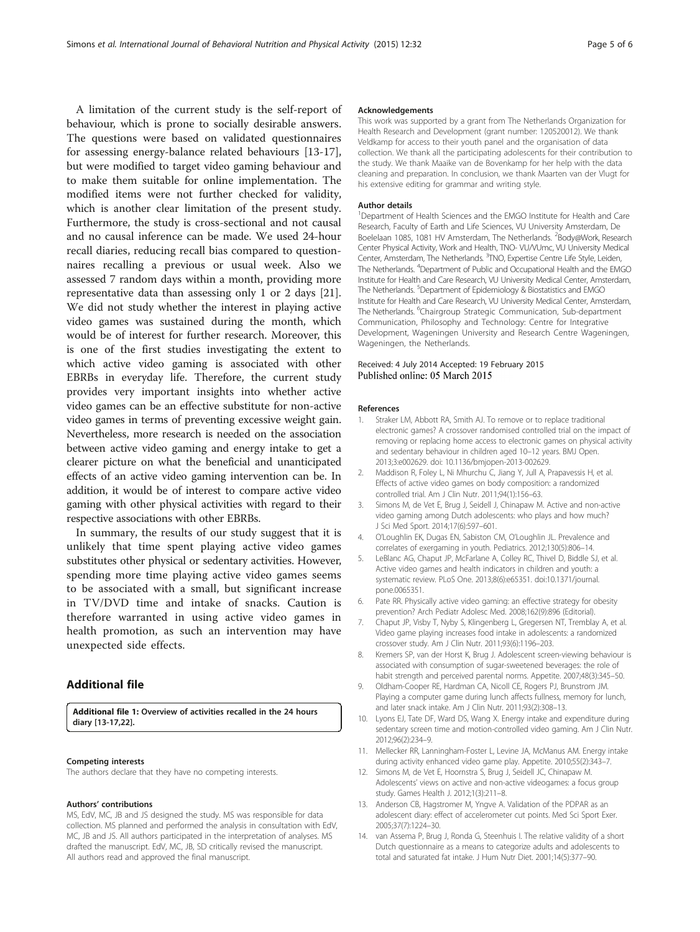<span id="page-4-0"></span>A limitation of the current study is the self-report of behaviour, which is prone to socially desirable answers. The questions were based on validated questionnaires for assessing energy-balance related behaviours [13[-17](#page-5-0)], but were modified to target video gaming behaviour and to make them suitable for online implementation. The modified items were not further checked for validity, which is another clear limitation of the present study. Furthermore, the study is cross-sectional and not causal and no causal inference can be made. We used 24-hour recall diaries, reducing recall bias compared to questionnaires recalling a previous or usual week. Also we assessed 7 random days within a month, providing more representative data than assessing only 1 or 2 days [\[21](#page-5-0)]. We did not study whether the interest in playing active video games was sustained during the month, which would be of interest for further research. Moreover, this is one of the first studies investigating the extent to which active video gaming is associated with other EBRBs in everyday life. Therefore, the current study provides very important insights into whether active video games can be an effective substitute for non-active video games in terms of preventing excessive weight gain. Nevertheless, more research is needed on the association between active video gaming and energy intake to get a clearer picture on what the beneficial and unanticipated effects of an active video gaming intervention can be. In addition, it would be of interest to compare active video gaming with other physical activities with regard to their respective associations with other EBRBs.

In summary, the results of our study suggest that it is unlikely that time spent playing active video games substitutes other physical or sedentary activities. However, spending more time playing active video games seems to be associated with a small, but significant increase in TV/DVD time and intake of snacks. Caution is therefore warranted in using active video games in health promotion, as such an intervention may have unexpected side effects.

## Additional file

[Additional file 1:](http://www.ijbnpa.org/content/supplementary/s12966-015-0192-6-s1.docx) Overview of activities recalled in the 24 hours diary [13[-17](#page-5-0),[22\]](#page-5-0).

#### Competing interests

The authors declare that they have no competing interests.

#### Authors' contributions

MS, EdV, MC, JB and JS designed the study. MS was responsible for data collection. MS planned and performed the analysis in consultation with EdV, MC, JB and JS. All authors participated in the interpretation of analyses. MS drafted the manuscript. EdV, MC, JB, SD critically revised the manuscript. All authors read and approved the final manuscript.

#### Acknowledgements

This work was supported by a grant from The Netherlands Organization for Health Research and Development (grant number: 120520012). We thank Veldkamp for access to their youth panel and the organisation of data collection. We thank all the participating adolescents for their contribution to the study. We thank Maaike van de Bovenkamp for her help with the data cleaning and preparation. In conclusion, we thank Maarten van der Vlugt for his extensive editing for grammar and writing style.

#### Author details

<sup>1</sup>Department of Health Sciences and the EMGO Institute for Health and Care Research, Faculty of Earth and Life Sciences, VU University Amsterdam, De Boelelaan 1085, 1081 HV Amsterdam, The Netherlands. <sup>2</sup>Body@Work, Research Center Physical Activity, Work and Health, TNO- VU/VUmc, VU University Medical Center, Amsterdam, The Netherlands. <sup>3</sup>TNO, Expertise Centre Life Style, Leiden, The Netherlands. <sup>4</sup>Department of Public and Occupational Health and the EMGO Institute for Health and Care Research, VU University Medical Center, Amsterdam, The Netherlands. <sup>5</sup>Department of Epidemiology & Biostatistics and EMGO Institute for Health and Care Research, VU University Medical Center, Amsterdam, The Netherlands. <sup>6</sup>Chairgroup Strategic Communication, Sub-department Communication, Philosophy and Technology: Centre for Integrative Development, Wageningen University and Research Centre Wageningen, Wageningen, the Netherlands.

## Received: 4 July 2014 Accepted: 19 February 2015 Published online: 05 March 2015

#### References

- 1. Straker LM, Abbott RA, Smith AJ. To remove or to replace traditional electronic games? A crossover randomised controlled trial on the impact of removing or replacing home access to electronic games on physical activity and sedentary behaviour in children aged 10–12 years. BMJ Open. 2013;3:e002629. doi: 10.1136/bmjopen-2013-002629.
- 2. Maddison R, Foley L, Ni Mhurchu C, Jiang Y, Jull A, Prapavessis H, et al. Effects of active video games on body composition: a randomized controlled trial. Am J Clin Nutr. 2011;94(1):156–63.
- 3. Simons M, de Vet E, Brug J, Seidell J, Chinapaw M. Active and non-active video gaming among Dutch adolescents: who plays and how much? J Sci Med Sport. 2014;17(6):597–601.
- 4. O'Loughlin EK, Dugas EN, Sabiston CM, O'Loughlin JL. Prevalence and correlates of exergaming in youth. Pediatrics. 2012;130(5):806–14.
- 5. LeBlanc AG, Chaput JP, McFarlane A, Colley RC, Thivel D, Biddle SJ, et al. Active video games and health indicators in children and youth: a systematic review. PLoS One. 2013;8(6):e65351. doi:10.1371/journal. pone.0065351.
- 6. Pate RR. Physically active video gaming: an effective strategy for obesity prevention? Arch Pediatr Adolesc Med. 2008;162(9):896 (Editorial).
- 7. Chaput JP, Visby T, Nyby S, Klingenberg L, Gregersen NT, Tremblay A, et al. Video game playing increases food intake in adolescents: a randomized crossover study. Am J Clin Nutr. 2011;93(6):1196–203.
- 8. Kremers SP, van der Horst K, Brug J. Adolescent screen-viewing behaviour is associated with consumption of sugar-sweetened beverages: the role of habit strength and perceived parental norms. Appetite. 2007;48(3):345–50.
- 9. Oldham-Cooper RE, Hardman CA, Nicoll CE, Rogers PJ, Brunstrom JM. Playing a computer game during lunch affects fullness, memory for lunch, and later snack intake. Am J Clin Nutr. 2011;93(2):308–13.
- 10. Lyons EJ, Tate DF, Ward DS, Wang X. Energy intake and expenditure during sedentary screen time and motion-controlled video gaming. Am J Clin Nutr. 2012;96(2):234–9.
- 11. Mellecker RR, Lanningham-Foster L, Levine JA, McManus AM. Energy intake during activity enhanced video game play. Appetite. 2010;55(2):343–7.
- 12. Simons M, de Vet E, Hoornstra S, Brug J, Seidell JC, Chinapaw M. Adolescents' views on active and non-active videogames: a focus group study. Games Health J. 2012;1(3):211–8.
- 13. Anderson CB, Hagstromer M, Yngve A. Validation of the PDPAR as an adolescent diary: effect of accelerometer cut points. Med Sci Sport Exer. 2005;37(7):1224–30.
- 14. van Assema P, Brug J, Ronda G, Steenhuis I. The relative validity of a short Dutch questionnaire as a means to categorize adults and adolescents to total and saturated fat intake. J Hum Nutr Diet. 2001;14(5):377–90.